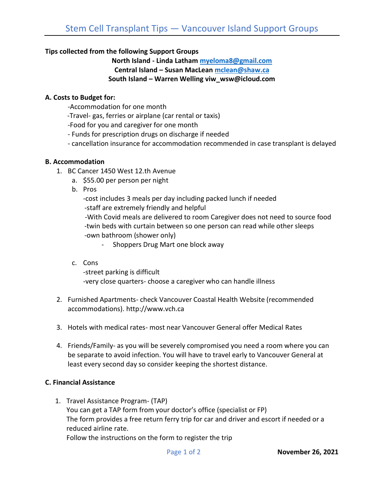## **Tips collected from the following Support Groups**

**North Island - Linda Latham [myeloma8@gmail.com](mailto:myeloma8@gmail.com) Central Island – Susan MacLean [mclean@shaw.ca](mailto:mclean@shaw.ca) South Island – Warren Welling viw\_wsw@icloud.com**

#### **A. Costs to Budget for:**

- -Accommodation for one month
- -Travel- gas, ferries or airplane (car rental or taxis)
- -Food for you and caregiver for one month
- Funds for prescription drugs on discharge if needed
- cancellation insurance for accommodation recommended in case transplant is delayed

### **B. Accommodation**

- 1. BC Cancer 1450 West 12.th Avenue
	- a. \$55.00 per person per night
	- b. Pros

-cost includes 3 meals per day including packed lunch if needed -staff are extremely friendly and helpful -With Covid meals are delivered to room Caregiver does not need to source food -twin beds with curtain between so one person can read while other sleeps -own bathroom (shower only)

- Shoppers Drug Mart one block away

- c. Cons -street parking is difficult -very close quarters- choose a caregiver who can handle illness
- 2. Furnished Apartments- check Vancouver Coastal Health Website (recommended accommodations). http://www.vch.ca
- 3. Hotels with medical rates- most near Vancouver General offer Medical Rates
- 4. Friends/Family- as you will be severely compromised you need a room where you can be separate to avoid infection. You will have to travel early to Vancouver General at least every second day so consider keeping the shortest distance.

### **C. Financial Assistance**

1. Travel Assistance Program- (TAP) You can get a TAP form from your doctor's office (specialist or FP) The form provides a free return ferry trip for car and driver and escort if needed or a reduced airline rate. Follow the instructions on the form to register the trip